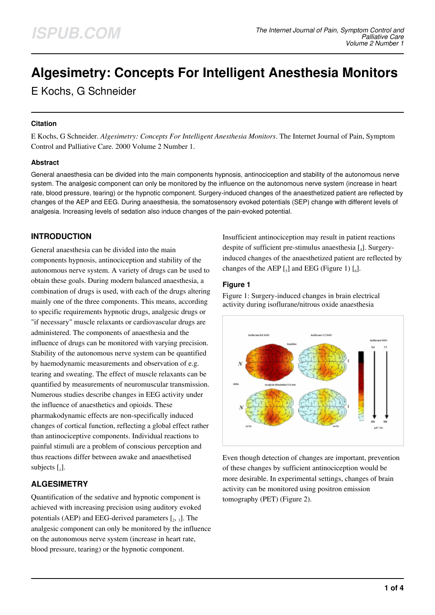# **Algesimetry: Concepts For Intelligent Anesthesia Monitors**

E Kochs, G Schneider

#### **Citation**

E Kochs, G Schneider. *Algesimetry: Concepts For Intelligent Anesthesia Monitors*. The Internet Journal of Pain, Symptom Control and Palliative Care. 2000 Volume 2 Number 1.

## **Abstract**

General anaesthesia can be divided into the main components hypnosis, antinociception and stability of the autonomous nerve system. The analgesic component can only be monitored by the influence on the autonomous nerve system (increase in heart rate, blood pressure, tearing) or the hypnotic component. Surgery-induced changes of the anaesthetized patient are reflected by changes of the AEP and EEG. During anaesthesia, the somatosensory evoked potentials (SEP) change with different levels of analgesia. Increasing levels of sedation also induce changes of the pain-evoked potential.

# **INTRODUCTION**

General anaesthesia can be divided into the main components hypnosis, antinociception and stability of the autonomous nerve system. A variety of drugs can be used to obtain these goals. During modern balanced anaesthesia, a combination of drugs is used, with each of the drugs altering mainly one of the three components. This means, according to specific requirements hypnotic drugs, analgesic drugs or "if necessary" muscle relaxants or cardiovascular drugs are administered. The components of anaesthesia and the influence of drugs can be monitored with varying precision. Stability of the autonomous nerve system can be quantified by haemodynamic measurements and observation of e.g. tearing and sweating. The effect of muscle relaxants can be quantified by measurements of neuromuscular transmission. Numerous studies describe changes in EEG activity under the influence of anaesthetics and opioids. These pharmakodynamic effects are non-specifically induced changes of cortical function, reflecting a global effect rather than antinociceptive components. Individual reactions to painful stimuli are a problem of conscious perception and thus reactions differ between awake and anaesthetised subjects  $\begin{bmatrix} 1 \end{bmatrix}$ .

# **ALGESIMETRY**

Quantification of the sedative and hypnotic component is achieved with increasing precision using auditory evoked potentials (AEP) and EEG-derived parameters  $\left[2, 3\right]$ . The analgesic component can only be monitored by the influence on the autonomous nerve system (increase in heart rate, blood pressure, tearing) or the hypnotic component.

Insufficient antinociception may result in patient reactions despite of sufficient pre-stimulus anaesthesia [<sup>4</sup> ]. Surgeryinduced changes of the anaesthetized patient are reflected by changes of the AEP  $\left[$ <sub>5</sub> $\right]$  and EEG (Figure 1)  $\left[$ <sub>6</sub> $\right]$ .

## **Figure 1**

Figure 1: Surgery-induced changes in brain electrical activity during isoflurane/nitrous oxide anaesthesia



Even though detection of changes are important, prevention of these changes by sufficient antinociception would be more desirable. In experimental settings, changes of brain activity can be monitored using positron emission tomography (PET) (Figure 2).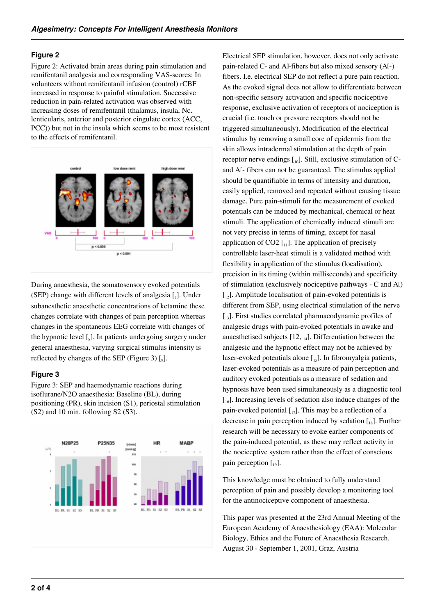#### **Figure 2**

Figure 2: Activated brain areas during pain stimulation and remifentanil analgesia and corresponding VAS-scores: In volunteers without remifentanil infusion (control) rCBF increased in response to painful stimulation. Successive reduction in pain-related activation was observed with increasing doses of remifentanil (thalamus, insula, Nc. lenticularis, anterior and posterior cingulate cortex (ACC, PCC)) but not in the insula which seems to be most resistent to the effects of remifentanil.



During anaesthesia, the somatosensory evoked potentials (SEP) change with different levels of analgesia  $\left[\right]$ . Under subanesthetic anaesthetic concentrations of ketamine these changes correlate with changes of pain perception whereas changes in the spontaneous EEG correlate with changes of the hypnotic level  $\left[\begin{smallmatrix}S\end{smallmatrix}\right]$ . In patients undergoing surgery under general anaesthesia, varying surgical stimulus intensity is reflected by changes of the SEP (Figure 3)  $\left[$ <sub>9</sub> $\right]$ .

## **Figure 3**

Figure 3: SEP and haemodynamic reactions during isoflurane/N2O anaesthesia: Baseline (BL), during positioning (PR), skin incision (S1), periostal stimulation (S2) and 10 min. following S2 (S3).



Electrical SEP stimulation, however, does not only activate pain-related C- and AΔ-fibers but also mixed sensory (AΔ-) fibers. I.e. electrical SEP do not reflect a pure pain reaction. As the evoked signal does not allow to differentiate between non-specific sensory activation and specific nociceptive response, exclusive activation of receptors of nociception is crucial (i.e. touch or pressure receptors should not be triggered simultaneously). Modification of the electrical stimulus by removing a small core of epidermis from the skin allows intradermal stimulation at the depth of pain receptor nerve endings  $\left[\begin{smallmatrix}1&0\end{smallmatrix}\right]$ . Still, exclusive stimulation of Cand Al- fibers can not be guaranteed. The stimulus applied should be quantifiable in terms of intensity and duration, easily applied, removed and repeated without causing tissue damage. Pure pain-stimuli for the measurement of evoked potentials can be induced by mechanical, chemical or heat stimuli. The application of chemically induced stimuli are not very precise in terms of timing, except for nasal application of  $CO2$   $\left[$ <sub>11</sub> $\right]$ . The application of precisely controllable laser-heat stimuli is a validated method with flexibility in application of the stimulus (localisation), precision in its timing (within milliseconds) and specificity of stimulation (exclusively nociceptive pathways - C and AΔ)  $\left[\begin{smallmatrix}1\\1\end{smallmatrix}\right]$ . Amplitude localisation of pain-evoked potentials is different from SEP, using electrical stimulation of the nerve  $\left[13\right]$ . First studies correlated pharmacodynamic profiles of analgesic drugs with pain-evoked potentials in awake and anaesthetised subjects  $[12, 14]$ . Differentiation between the analgesic and the hypnotic effect may not be achieved by laser-evoked potentials alone  $\begin{bmatrix} 15 \end{bmatrix}$ . In fibromyalgia patients, laser-evoked potentials as a measure of pain perception and auditory evoked potentials as a measure of sedation and hypnosis have been used simultaneously as a diagnostic tool  $\left[ \begin{array}{c} 16 \end{array} \right]$ . Increasing levels of sedation also induce changes of the pain-evoked potential  $\begin{bmatrix} 1 \\ 1 \end{bmatrix}$ . This may be a reflection of a decrease in pain perception induced by sedation  $\left[\begin{smallmatrix}18\end{smallmatrix}\right]$ . Further research will be necessary to evoke earlier components of the pain-induced potential, as these may reflect activity in the nociceptive system rather than the effect of conscious pain perception  $\begin{bmatrix} 1 & 0 \end{bmatrix}$ .

This knowledge must be obtained to fully understand perception of pain and possibly develop a monitoring tool for the antinociceptive component of anaesthesia.

This paper was presented at the 23rd Annual Meeting of the European Academy of Anaesthesiology (EAA): Molecular Biology, Ethics and the Future of Anaesthesia Research. August 30 - September 1, 2001, Graz, Austria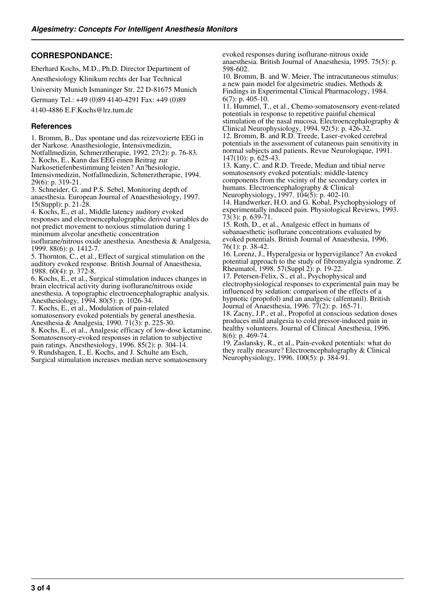# **CORRESPONDANCE:**

Eberhard Kochs, M.D., Ph.D. Director Department of Anesthesiology Klinikum rechts der Isar Technical University Munich Ismaninger Str. 22 D-81675 Munich Germany Tel.: +49 (0)89 4140-4291 Fax: +49 (0)89 4140-4886 E.F.Kochs@lrz.tum.de

#### **References**

1. Bromm, B., Das spontane und das reizevozierte EEG in der Narkose. Anasthesiologie, Intensivmedizin, Notfallmedizin, Schmerztherapie, 1992. 27(2): p. 76-83. 2. Kochs, E., Kann das EEG einen Beitrag zur Narkosetiefenbestimmung leisten? An?hesiologie, Intensivmedizin, Notfallmedizin, Schmerztherapie, 1994. 29(6): p. 319-21. 3. Schneider, G. and P.S. Sebel, Monitoring depth of

anaesthesia. European Journal of Anaesthesiology, 1997. 15(Suppl): p. 21-28.

4. Kochs, E., et al., Middle latency auditory evoked responses and electroencephalographic derived variables do not predict movement to noxious stimulation during 1 minimum alveolar anesthetic concentration

isoflurane/nitrous oxide anesthesia. Anesthesia & Analgesia, 1999. 88(6): p. 1412-7.

5. Thornton, C., et al., Effect of surgical stimulation on the auditory evoked response. British Journal of Anaesthesia, 1988. 60(4): p. 372-8.

6. Kochs, E., et al., Surgical stimulation induces changes in brain electrical activity during isoflurane/nitrous oxide anesthesia. A topographic electroencephalographic analysis. Anesthesiology, 1994. 80(5): p. 1026-34.

7. Kochs, E., et al., Modulation of pain-related somatosensory evoked potentials by general anesthesia. Anesthesia & Analgesia, 1990. 71(3): p. 225-30.

8. Kochs, E., et al., Analgesic efficacy of low-dose ketamine. Somatosensory-evoked responses in relation to subjective pain ratings. Anesthesiology, 1996. 85(2): p. 304-14. 9. Rundshagen, I., E. Kochs, and J. Schulte am Esch,

Surgical stimulation increases median nerve somatosensory

evoked responses during isoflurane-nitrous oxide anaesthesia. British Journal of Anaesthesia, 1995. 75(5): p. 598-602.

10. Bromm, B. and W. Meier, The intracutaneous stimulus: a new pain model for algesimetric studies. Methods & Findings in Experimental Clinical Pharmacology, 1984. 6(7): p. 405-10.

11. Hummel, T., et al., Chemo-somatosensory event-related potentials in response to repetitive painful chemical stimulation of the nasal mucosa. Electroencephalography & Clinical Neurophysiology, 1994. 92(5): p. 426-32. 12. Bromm, B. and R.D. Treede, Laser-evoked cerebral

potentials in the assessment of cutaneous pain sensitivity in normal subjects and patients. Revue Neurologique, 1991. 147(10): p. 625-43.

13. Kany, C. and R.D. Treede, Median and tibial nerve somatosensory evoked potentials: middle-latency components from the vicinty of the secondary cortex in humans. Electroencephalography & Clinical Neurophysiology, 1997. 104(5): p. 402-10.

14. Handwerker, H.O. and G. Kobal, Psychophysiology of experimentally induced pain. Physiological Reviews, 1993. 73(3): p. 639-71.

15. Roth, D., et al., Analgesic effect in humans of subanaesthetic isoflurane concentrations evaluated by evoked potentials. British Journal of Anaesthesia, 1996. 76(1): p. 38-42.

16. Lorenz, J., Hyperalgesia or hypervigilance? An evoked potential approach to the study of fibromyalgia syndrome. Z Rheumatol, 1998. 57(Suppl 2): p. 19-22.

17. Petersen-Felix, S., et al., Psychophysical and electrophysiological responses to experimental pain may be influenced by sedation: comparison of the effects of a hypnotic (propofol) and an analgesic (alfentanil). British Journal of Anaesthesia, 1996. 77(2): p. 165-71.

18. Zacny, J.P., et al., Propofol at conscious sedation doses produces mild analgesia to cold pressor-induced pain in healthy volunteers. Journal of Clinical Anesthesia, 1996. 8(6): p. 469-74.

19. Zaslansky, R., et al., Pain-evoked potentials: what do they really measure? Electroencephalography & Clinical Neurophysiology, 1996. 100(5): p. 384-91.